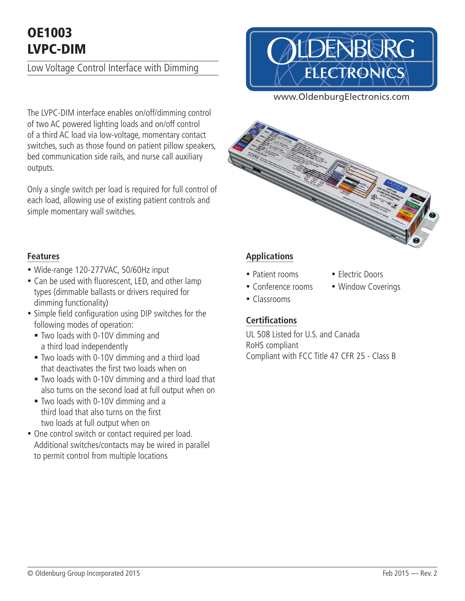# OE1003 LVPC-DIM

Low Voltage Control Interface with Dimming



www.OldenburgElectronics.com

The LVPC-DIM interface enables on/off/dimming control of two AC powered lighting loads and on/off control of a third AC load via low-voltage, momentary contact switches, such as those found on patient pillow speakers, bed communication side rails, and nurse call auxiliary outputs.

Only a single switch per load is required for full control of each load, allowing use of existing patient controls and simple momentary wall switches.



#### **Features**

- Wide-range 120-277VAC, 50/60Hz input
- Can be used with fluorescent, LED, and other lamp types (dimmable ballasts or drivers required for dimming functionality)
- Simple field configuration using DIP switches for the following modes of operation:
	- § Two loads with 0-10V dimming and a third load independently
	- § Two loads with 0-10V dimming and a third load that deactivates the first two loads when on
	- § Two loads with 0-10V dimming and a third load that also turns on the second load at full output when on
	- § Two loads with 0-10V dimming and a third load that also turns on the first two loads at full output when on
- One control switch or contact required per load. Additional switches/contacts may be wired in parallel to permit control from multiple locations

#### **Applications**

- Patient rooms Electric Doors
- Conference rooms Window Coverings
- Classrooms

### **Certifications**

UL 508 Listed for U.S. and Canada RoHS compliant Compliant with FCC Title 47 CFR 25 - Class B